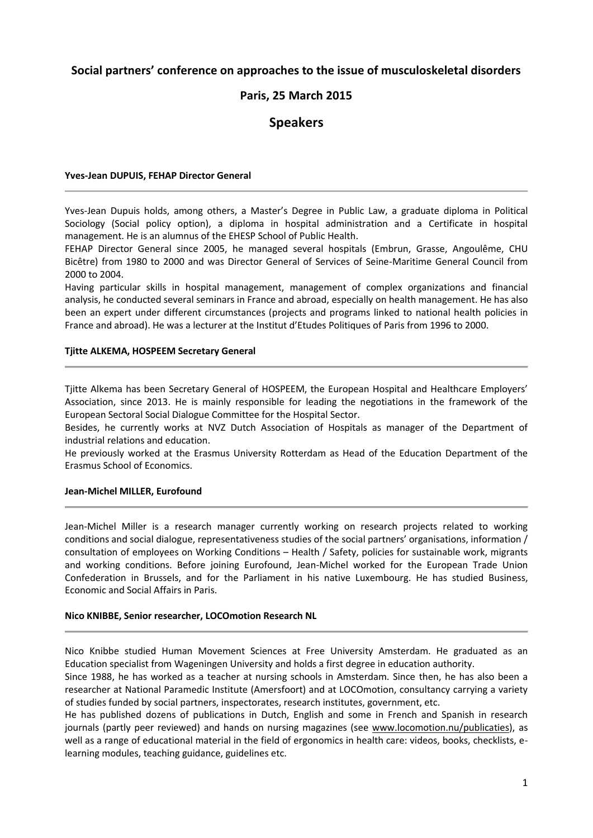# **Social partners' conference on approaches to the issue of musculoskeletal disorders**

# **Paris, 25 March 2015**

# **Speakers**

## **Yves-Jean DUPUIS, FEHAP Director General**

Yves-Jean Dupuis holds, among others, a Master's Degree in Public Law, a graduate diploma in Political Sociology (Social policy option), a diploma in hospital administration and a Certificate in hospital management. He is an alumnus of the EHESP School of Public Health.

FEHAP Director General since 2005, he managed several hospitals (Embrun, Grasse, Angoulême, CHU Bicêtre) from 1980 to 2000 and was Director General of Services of Seine-Maritime General Council from 2000 to 2004.

Having particular skills in hospital management, management of complex organizations and financial analysis, he conducted several seminars in France and abroad, especially on health management. He has also been an expert under different circumstances (projects and programs linked to national health policies in France and abroad). He was a lecturer at the Institut d'Etudes Politiques of Paris from 1996 to 2000.

# **Tjitte ALKEMA, HOSPEEM Secretary General**

Tjitte Alkema has been Secretary General of HOSPEEM, the European Hospital and Healthcare Employers' Association, since 2013. He is mainly responsible for leading the negotiations in the framework of the European Sectoral Social Dialogue Committee for the Hospital Sector.

Besides, he currently works at NVZ Dutch Association of Hospitals as manager of the Department of industrial relations and education.

He previously worked at the Erasmus University Rotterdam as Head of the Education Department of the Erasmus School of Economics.

# **Jean-Michel MILLER, Eurofound**

Jean-Michel Miller is a research manager currently working on research projects related to working conditions and social dialogue, representativeness studies of the social partners' organisations, information / consultation of employees on Working Conditions – Health / Safety, policies for sustainable work, migrants and working conditions. Before joining Eurofound, Jean-Michel worked for the European Trade Union Confederation in Brussels, and for the Parliament in his native Luxembourg. He has studied Business, Economic and Social Affairs in Paris.

## **Nico KNIBBE, Senior researcher, LOCOmotion Research NL**

Nico Knibbe studied Human Movement Sciences at Free University Amsterdam. He graduated as an Education specialist from Wageningen University and holds a first degree in education authority.

Since 1988, he has worked as a teacher at nursing schools in Amsterdam. Since then, he has also been a researcher at National Paramedic Institute (Amersfoort) and at LOCOmotion, consultancy carrying a variety of studies funded by social partners, inspectorates, research institutes, government, etc.

He has published dozens of publications in Dutch, English and some in French and Spanish in research journals (partly peer reviewed) and hands on nursing magazines (see [www.locomotion.nu/publicaties\)](http://www.locomotion.nu/publicaties), as well as a range of educational material in the field of ergonomics in health care: videos, books, checklists, elearning modules, teaching guidance, guidelines etc.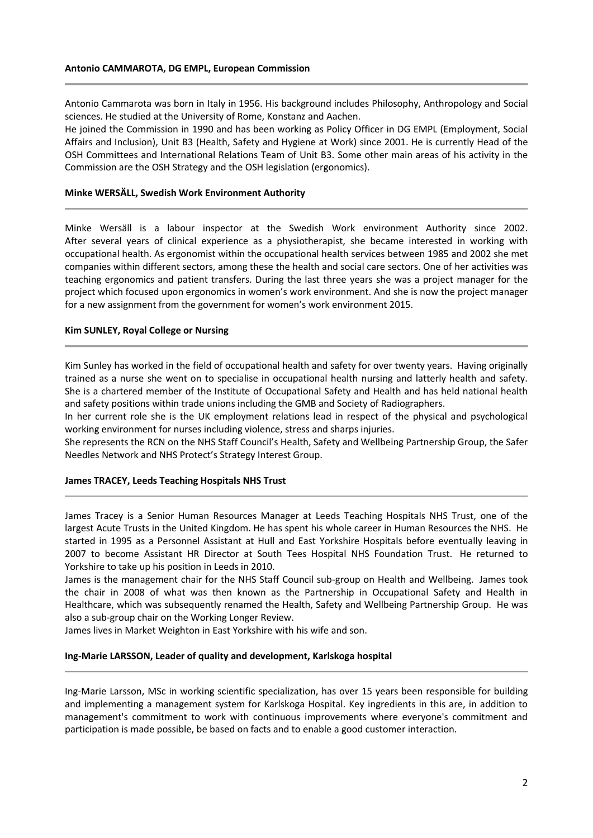### **Antonio CAMMAROTA, DG EMPL, European Commission**

Antonio Cammarota was born in Italy in 1956. His background includes Philosophy, Anthropology and Social sciences. He studied at the University of Rome, Konstanz and Aachen.

He joined the Commission in 1990 and has been working as Policy Officer in DG EMPL (Employment, Social Affairs and Inclusion), Unit B3 (Health, Safety and Hygiene at Work) since 2001. He is currently Head of the OSH Committees and International Relations Team of Unit B3. Some other main areas of his activity in the Commission are the OSH Strategy and the OSH legislation (ergonomics).

## **Minke WERSÄLL, Swedish Work Environment Authority**

Minke Wersäll is a labour inspector at the Swedish Work environment Authority since 2002. After several years of clinical experience as a physiotherapist, she became interested in working with occupational health. As ergonomist within the occupational health services between 1985 and 2002 she met companies within different sectors, among these the health and social care sectors. One of her activities was teaching ergonomics and patient transfers. During the last three years she was a project manager for the project which focused upon ergonomics in women's work environment. And she is now the project manager for a new assignment from the government for women's work environment 2015.

### **Kim SUNLEY, Royal College or Nursing**

Kim Sunley has worked in the field of occupational health and safety for over twenty years. Having originally trained as a nurse she went on to specialise in occupational health nursing and latterly health and safety. She is a chartered member of the Institute of Occupational Safety and Health and has held national health and safety positions within trade unions including the GMB and Society of Radiographers.

In her current role she is the UK employment relations lead in respect of the physical and psychological working environment for nurses including violence, stress and sharps injuries.

She represents the RCN on the NHS Staff Council's Health, Safety and Wellbeing Partnership Group, the Safer Needles Network and NHS Protect's Strategy Interest Group.

#### **James TRACEY, Leeds Teaching Hospitals NHS Trust**

James Tracey is a Senior Human Resources Manager at Leeds Teaching Hospitals NHS Trust, one of the largest Acute Trusts in the United Kingdom. He has spent his whole career in Human Resources the NHS. He started in 1995 as a Personnel Assistant at Hull and East Yorkshire Hospitals before eventually leaving in 2007 to become Assistant HR Director at South Tees Hospital NHS Foundation Trust. He returned to Yorkshire to take up his position in Leeds in 2010.

James is the management chair for the NHS Staff Council sub-group on Health and Wellbeing. James took the chair in 2008 of what was then known as the Partnership in Occupational Safety and Health in Healthcare, which was subsequently renamed the Health, Safety and Wellbeing Partnership Group. He was also a sub-group chair on the Working Longer Review.

James lives in Market Weighton in East Yorkshire with his wife and son.

#### **Ing-Marie LARSSON, Leader of quality and development, Karlskoga hospital**

Ing-Marie Larsson, MSc in working scientific specialization, has over 15 years been responsible for building and implementing a management system for Karlskoga Hospital. Key ingredients in this are, in addition to management's commitment to work with continuous improvements where everyone's commitment and participation is made possible, be based on facts and to enable a good customer interaction.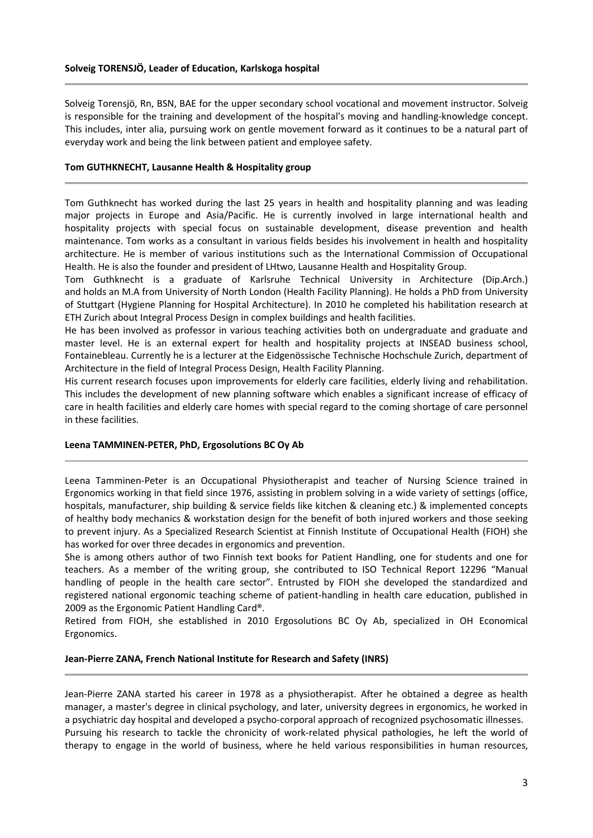# **Solveig TORENSJÖ, Leader of Education, Karlskoga hospital**

Solveig Torensjö, Rn, BSN, BAE for the upper secondary school vocational and movement instructor. Solveig is responsible for the training and development of the hospital's moving and handling-knowledge concept. This includes, inter alia, pursuing work on gentle movement forward as it continues to be a natural part of everyday work and being the link between patient and employee safety.

# **Tom GUTHKNECHT, Lausanne Health & Hospitality group**

Tom Guthknecht has worked during the last 25 years in health and hospitality planning and was leading major projects in Europe and Asia/Pacific. He is currently involved in large international health and hospitality projects with special focus on sustainable development, disease prevention and health maintenance. Tom works as a consultant in various fields besides his involvement in health and hospitality architecture. He is member of various institutions such as the International Commission of Occupational Health. He is also the founder and president of LHtwo, Lausanne Health and Hospitality Group.

Tom Guthknecht is a graduate of Karlsruhe Technical University in Architecture (Dip.Arch.) and holds an M.A from University of North London (Health Facility Planning). He holds a PhD from University of Stuttgart (Hygiene Planning for Hospital Architecture). In 2010 he completed his habilitation research at ETH Zurich about Integral Process Design in complex buildings and health facilities.

He has been involved as professor in various teaching activities both on undergraduate and graduate and master level. He is an external expert for health and hospitality projects at INSEAD business school, Fontainebleau. Currently he is a lecturer at the Eidgenössische Technische Hochschule Zurich, department of Architecture in the field of Integral Process Design, Health Facility Planning.

His current research focuses upon improvements for elderly care facilities, elderly living and rehabilitation. This includes the development of new planning software which enables a significant increase of efficacy of care in health facilities and elderly care homes with special regard to the coming shortage of care personnel in these facilities.

### **Leena TAMMINEN-PETER, PhD, Ergosolutions BC Oy Ab**

Leena Tamminen-Peter is an Occupational Physiotherapist and teacher of Nursing Science trained in Ergonomics working in that field since 1976, assisting in problem solving in a wide variety of settings (office, hospitals, manufacturer, ship building & service fields like kitchen & cleaning etc.) & implemented concepts of healthy body mechanics & workstation design for the benefit of both injured workers and those seeking to prevent injury. As a Specialized Research Scientist at Finnish Institute of Occupational Health (FIOH) she has worked for over three decades in ergonomics and prevention.

She is among others author of two Finnish text books for Patient Handling, one for students and one for teachers. As a member of the writing group, she contributed to ISO Technical Report 12296 "Manual handling of people in the health care sector". Entrusted by FIOH she developed the standardized and registered national ergonomic teaching scheme of patient-handling in health care education, published in 2009 as the Ergonomic Patient Handling Card®.

Retired from FIOH, she established in 2010 Ergosolutions BC Oy Ab, specialized in OH Economical Ergonomics.

### **Jean-Pierre ZANA, French National Institute for Research and Safety (INRS)**

Jean-Pierre ZANA started his career in 1978 as a physiotherapist. After he obtained a degree as health manager, a master's degree in clinical psychology, and later, university degrees in ergonomics, he worked in a psychiatric day hospital and developed a psycho-corporal approach of recognized psychosomatic illnesses. Pursuing his research to tackle the chronicity of work-related physical pathologies, he left the world of therapy to engage in the world of business, where he held various responsibilities in human resources,